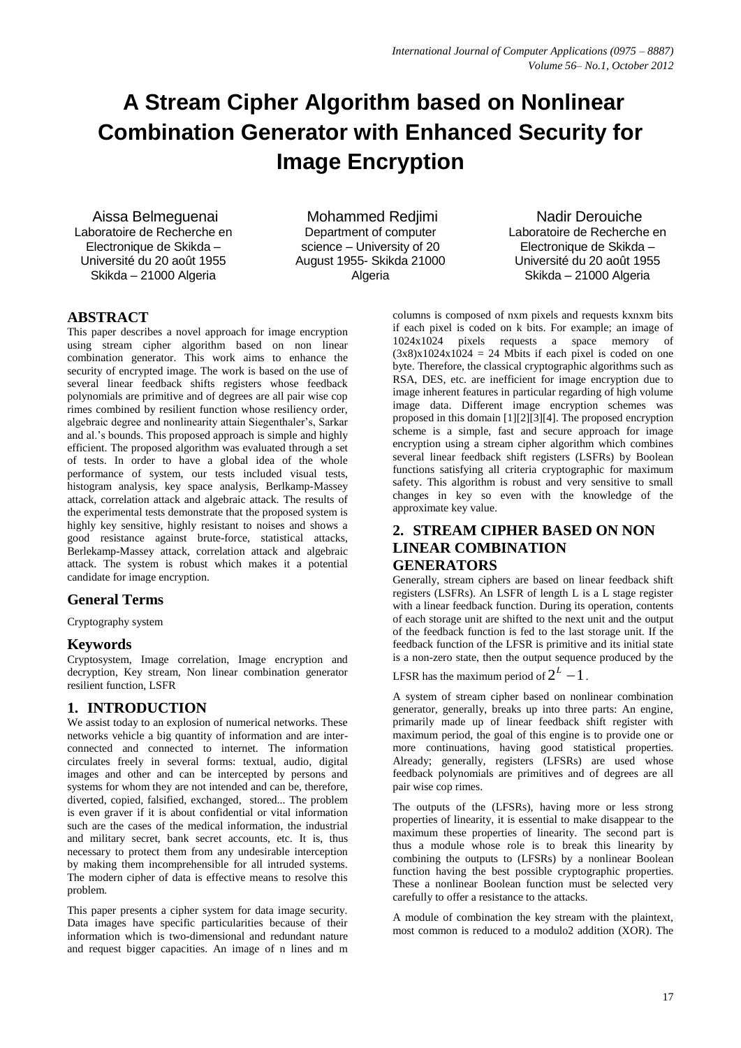# **A Stream Cipher Algorithm based on Nonlinear Combination Generator with Enhanced Security for Image Encryption**

Aissa Belmeguenai Laboratoire de Recherche en Electronique de Skikda – Université du 20 août 1955 Skikda – 21000 Algeria

Mohammed Redjimi Department of computer science – University of 20 August 1955- Skikda 21000 Algeria

Nadir Derouiche Laboratoire de Recherche en Electronique de Skikda – Université du 20 août 1955 Skikda – 21000 Algeria

# **ABSTRACT**

This paper describes a novel approach for image encryption using stream cipher algorithm based on non linear combination generator. This work aims to enhance the security of encrypted image. The work is based on the use of several linear feedback shifts registers whose feedback polynomials are primitive and of degrees are all pair wise cop rimes combined by resilient function whose resiliency order, algebraic degree and nonlinearity attain Siegenthaler's, Sarkar and al.'s bounds. This proposed approach is simple and highly efficient. The proposed algorithm was evaluated through a set of tests. In order to have a global idea of the whole performance of system, our tests included visual tests, histogram analysis, key space analysis, Berlkamp-Massey attack, correlation attack and algebraic attack. The results of the experimental tests demonstrate that the proposed system is highly key sensitive, highly resistant to noises and shows a good resistance against brute-force, statistical attacks, Berlekamp-Massey attack, correlation attack and algebraic attack. The system is robust which makes it a potential candidate for image encryption.

# **General Terms**

Cryptography system

# **Keywords**

Cryptosystem, Image correlation, Image encryption and decryption, Key stream, Non linear combination generator resilient function, LSFR

# **1. INTRODUCTION**

We assist today to an explosion of numerical networks. These networks vehicle a big quantity of information and are interconnected and connected to internet. The information circulates freely in several forms: textual, audio, digital images and other and can be intercepted by persons and systems for whom they are not intended and can be, therefore, diverted, copied, falsified, exchanged, stored... The problem is even graver if it is about confidential or vital information such are the cases of the medical information, the industrial and military secret, bank secret accounts, etc. It is, thus necessary to protect them from any undesirable interception by making them incomprehensible for all intruded systems. The modern cipher of data is effective means to resolve this problem.

This paper presents a cipher system for data image security. Data images have specific particularities because of their information which is two-dimensional and redundant nature and request bigger capacities. An image of n lines and m columns is composed of nxm pixels and requests kxnxm bits if each pixel is coded on k bits. For example; an image of 1024x1024 pixels requests a space memory of  $(3x8)x1024x1024 = 24$  Mbits if each pixel is coded on one byte. Therefore, the classical cryptographic algorithms such as RSA, DES, etc. are inefficient for image encryption due to image inherent features in particular regarding of high volume image data. Different image encryption schemes was proposed in this domain [1][2][3][4]. The proposed encryption scheme is a simple, fast and secure approach for image encryption using a stream cipher algorithm which combines several linear feedback shift registers (LSFRs) by Boolean functions satisfying all criteria cryptographic for maximum safety. This algorithm is robust and very sensitive to small changes in key so even with the knowledge of the approximate key value.

# **2. STREAM CIPHER BASED ON NON LINEAR COMBINATION GENERATORS**

Generally, stream ciphers are based on linear feedback shift registers (LSFRs). An LSFR of length L is a L stage register with a linear feedback function. During its operation, contents of each storage unit are shifted to the next unit and the output of the feedback function is fed to the last storage unit. If the feedback function of the LFSR is primitive and its initial state is a non-zero state, then the output sequence produced by the

LFSR has the maximum period of  $2^L - 1$ .

A system of stream cipher based on nonlinear combination generator, generally, breaks up into three parts: An engine, primarily made up of linear feedback shift register with maximum period, the goal of this engine is to provide one or more continuations, having good statistical properties. Already; generally, registers (LFSRs) are used whose feedback polynomials are primitives and of degrees are all pair wise cop rimes.

The outputs of the (LFSRs), having more or less strong properties of linearity, it is essential to make disappear to the maximum these properties of linearity. The second part is thus a module whose role is to break this linearity by combining the outputs to (LFSRs) by a nonlinear Boolean function having the best possible cryptographic properties. These a nonlinear Boolean function must be selected very carefully to offer a resistance to the attacks.

A module of combination the key stream with the plaintext, most common is reduced to a modulo2 addition (XOR). The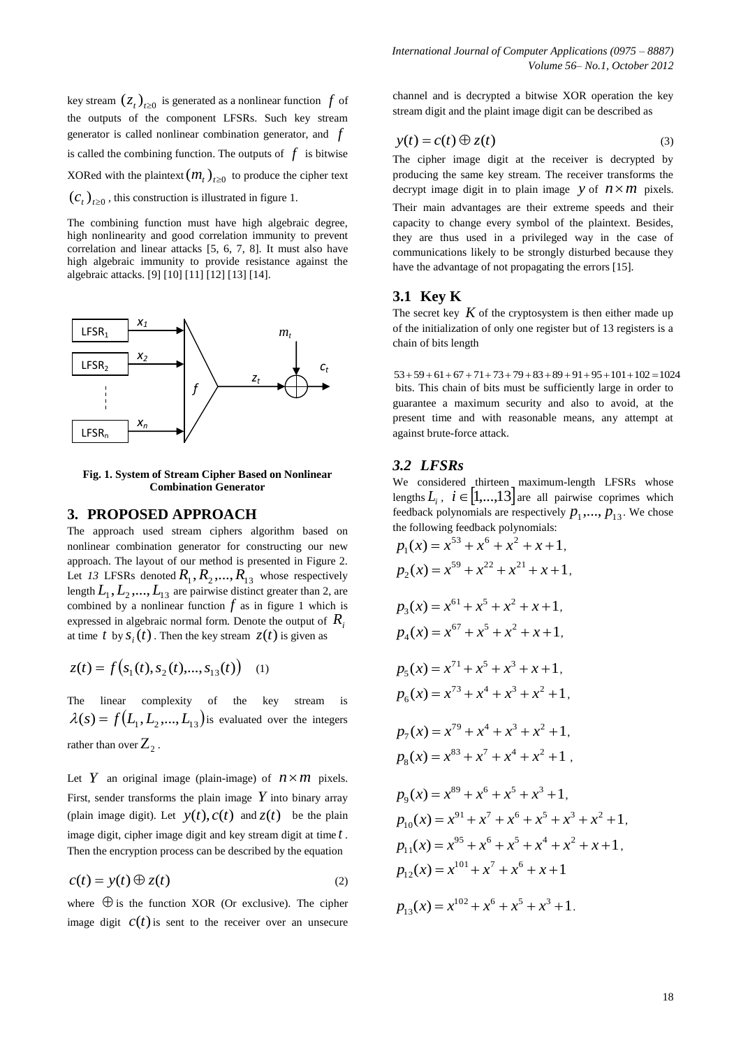key stream  $(z_t)_{t \geq 0}$  is generated as a nonlinear function  $f$  of the outputs of the component LFSRs. Such key stream generator is called nonlinear combination generator, and *f* is called the combining function. The outputs of  $f$  is bitwise XORed with the plaintext  $(m_t)_{t \geq 0}$  to produce the cipher text  $(c<sub>t</sub>)<sub>t\ge0</sub>$ , this construction is illustrated in figure 1.

The combining function must have high algebraic degree, high nonlinearity and good correlation immunity to prevent correlation and linear attacks [5, 6, 7, 8]. It must also have high algebraic immunity to provide resistance against the algebraic attacks. [9] [10] [11] [12] [13] [14].



**Fig. 1. System of Stream Cipher Based on Nonlinear Combination Generator**

## **3. PROPOSED APPROACH**

The approach used stream ciphers algorithm based on nonlinear combination generator for constructing our new approach. The layout of our method is presented in Figure 2. Let 13 LFSRs denoted  $R_1, R_2, ..., R_{13}$  whose respectively length  $L_1, L_2, ..., L_{13}$  are pairwise distinct greater than 2, are combined by a nonlinear function  $f$  as in figure 1 which is expressed in algebraic normal form. Denote the output of *Ri* at time  $t$  by  $s_i(t)$ . Then the key stream  $z(t)$  is given as

$$
z(t) = f(s_1(t), s_2(t), \dots, s_{13}(t)) \quad (1)
$$

The linear complexity of the key stream is  $\lambda(s) = f(L_1, L_2, ..., L_{13})$  is evaluated over the integers rather than over  $Z_2$ .

Let Y an original image (plain-image) of  $n \times m$  pixels. First, sender transforms the plain image  $Y$  into binary array (plain image digit). Let  $y(t)$ ,  $c(t)$  and  $z(t)$  be the plain image digit, cipher image digit and key stream digit at time *t* . Then the encryption process can be described by the equation

$$
c(t) = y(t) \oplus z(t) \tag{2}
$$

where  $\oplus$  is the function XOR (Or exclusive). The cipher image digit  $c(t)$  is sent to the receiver over an unsecure channel and is decrypted a bitwise XOR operation the key stream digit and the plaint image digit can be described as

$$
y(t) = c(t) \oplus z(t)
$$
 (3)

The cipher image digit at the receiver is decrypted by producing the same key stream. The receiver transforms the decrypt image digit in to plain image y of  $n \times m$  pixels.

Their main advantages are their extreme speeds and their capacity to change every symbol of the plaintext. Besides, they are thus used in a privileged way in the case of communications likely to be strongly disturbed because they have the advantage of not propagating the errors [15].

# **3.1 Key K**

The secret key  $K$  of the cryptosystem is then either made up of the initialization of only one register but of 13 registers is a chain of bits length

 $53+59+61+67+71+73+79+83+89+91+95+101+102=1024$ bits. This chain of bits must be sufficiently large in order to guarantee a maximum security and also to avoid, at the present time and with reasonable means, any attempt at against brute-force attack.

#### *3.2 LFSRs*

We considered thirteen maximum-length LFSRs whose lengths  $L_i$ ,  $i \in [1,...,13]$  are all pairwise coprimes which feedback polynomials are respectively  $p_1, ..., p_{13}$ . We chose the following feedback polynomials:

$$
p_1(x) = x^{53} + x^6 + x^2 + x + 1,
$$
  
\n
$$
p_2(x) = x^{59} + x^{22} + x^{21} + x + 1,
$$
  
\n
$$
p_3(x) = x^{61} + x^5 + x^2 + x + 1,
$$
  
\n
$$
p_4(x) = x^{67} + x^5 + x^2 + x + 1,
$$
  
\n
$$
p_5(x) = x^{71} + x^5 + x^3 + x + 1,
$$
  
\n
$$
p_6(x) = x^{73} + x^4 + x^3 + x^2 + 1,
$$
  
\n
$$
p_7(x) = x^{79} + x^4 + x^3 + x^2 + 1,
$$
  
\n
$$
p_8(x) = x^{83} + x^7 + x^4 + x^2 + 1,
$$
  
\n
$$
p_9(x) = x^{89} + x^6 + x^5 + x^3 + 1,
$$
  
\n
$$
p_{10}(x) = x^{91} + x^7 + x^6 + x^5 + x^3 + x^2 + 1,
$$
  
\n
$$
p_{11}(x) = x^{95} + x^6 + x^5 + x^4 + x^2 + x + 1,
$$
  
\n
$$
p_{12}(x) = x^{101} + x^7 + x^6 + x + 1
$$

$$
p_{13}(x) = x^{102} + x^6 + x^5 + x^3 + 1.
$$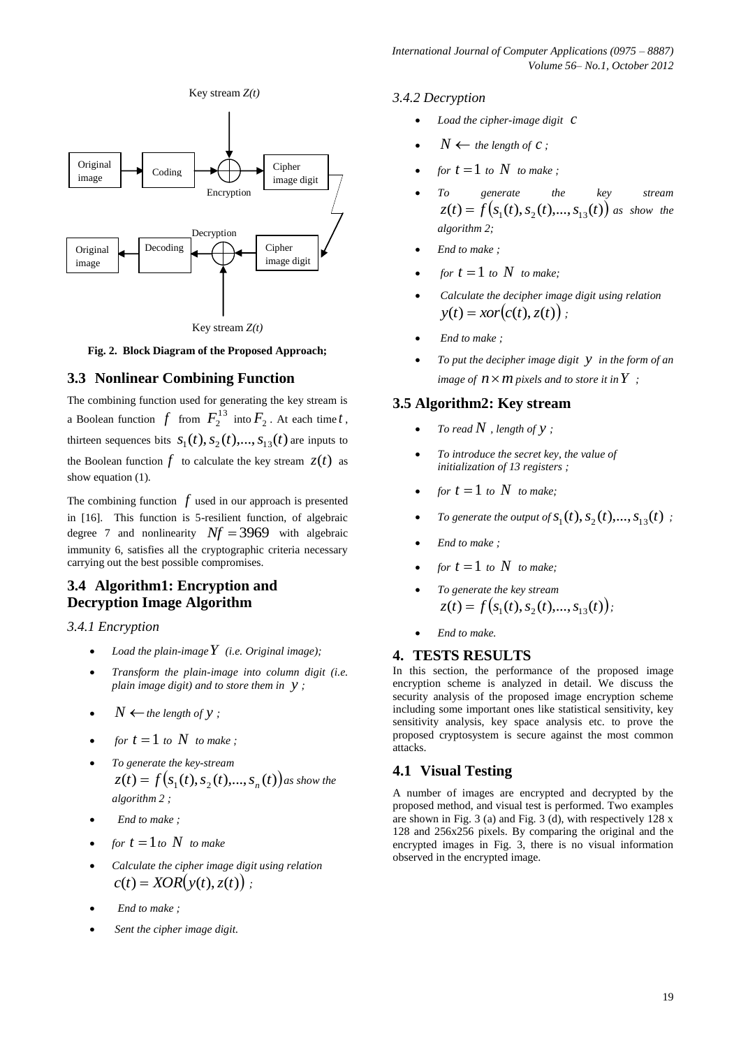

Key stream *Z(t)*

**Fig. 2. Block Diagram of the Proposed Approach;**

# **3.3 Nonlinear Combining Function**

The combining function used for generating the key stream is a Boolean function  $f$  from  $F_2^{13}$  into  $F_2$ . At each time t, thirteen sequences bits  $S_1(t)$ ,  $S_2(t)$ , ...,  $S_{13}(t)$  are inputs to the Boolean function  $f$  to calculate the key stream  $z(t)$  as show equation (1).

The combining function  $f$  used in our approach is presented in [16]. This function is 5-resilient function, of algebraic degree 7 and nonlinearity  $Nf = 3969$  with algebraic immunity 6, satisfies all the cryptographic criteria necessary carrying out the best possible compromises.

# **3.4 Algorithm1: Encryption and Decryption Image Algorithm**

## *3.4.1 Encryption*

- *Load the plain-image Y (i.e. Original image);*
- *Transform the plain-image into column digit (i.e. plain image digit) and to store them in y ;*
- $N \leftarrow$  *the length of*  $y$ ;
- *for*  $t = 1$  *to*  $N$  *to make ;*
- *To generate the key-stream*  $z(t) = f(s_1(t), s_2(t),..., s_n(t))$  as show the *algorithm 2 ;*
- *End to make ;*
- *for*  $t = 1$  *to*  $N$  *to make*
- *Calculate the cipher image digit using relation*   $c(t) = XOR(y(t), z(t))$ ;
- *End to make ;*
- *Sent the cipher image digit.*

#### *3.4.2 Decryption*

- *Load the cipher-image digit c*
- $N \leftarrow$  *the length of c*;
- *for*  $t = 1$  *to*  $N$  *to make ;*
- *To generate the key stream*  $z(t) = f(s_1(t), s_2(t),..., s_{13}(t))$  as show the *algorithm 2;*
- *End to make ;*
- *for*  $t = 1$  *to*  $N$  *to make*;
- *Calculate the decipher image digit using relation*   $y(t) = x \cdot \text{or}(c(t), z(t))$ ;
- *End to make ;*
- *To put the decipher image digit y in the form of an image of*  $n \times m$  pixels and to store it in  $Y$ ;

# **3.5 Algorithm2: Key stream**

- To read  $N$  , length of  $y$ ;
- *To introduce the secret key, the value of initialization of 13 registers ;*
- *for*  $t = 1$  *to*  $N$  *to make*;
- To generate the output of  $S_1(t)$ ,  $S_2(t)$ , ...,  $S_{13}(t)$ ;
- *End to make ;*
- *for*  $t = 1$  *to*  $N$  *to make;*
- *To generate the key stream*   $z(t) = f(s_1(t), s_2(t),..., s_{13}(t))$ ;
- *End to make.*

# **4. TESTS RESULTS**

In this section, the performance of the proposed image encryption scheme is analyzed in detail. We discuss the security analysis of the proposed image encryption scheme including some important ones like statistical sensitivity, key sensitivity analysis, key space analysis etc. to prove the proposed cryptosystem is secure against the most common attacks.

## **4.1 Visual Testing**

A number of images are encrypted and decrypted by the proposed method, and visual test is performed. Two examples are shown in Fig. 3 (a) and Fig. 3 (d), with respectively 128 x 128 and 256x256 pixels. By comparing the original and the encrypted images in Fig. 3, there is no visual information observed in the encrypted image.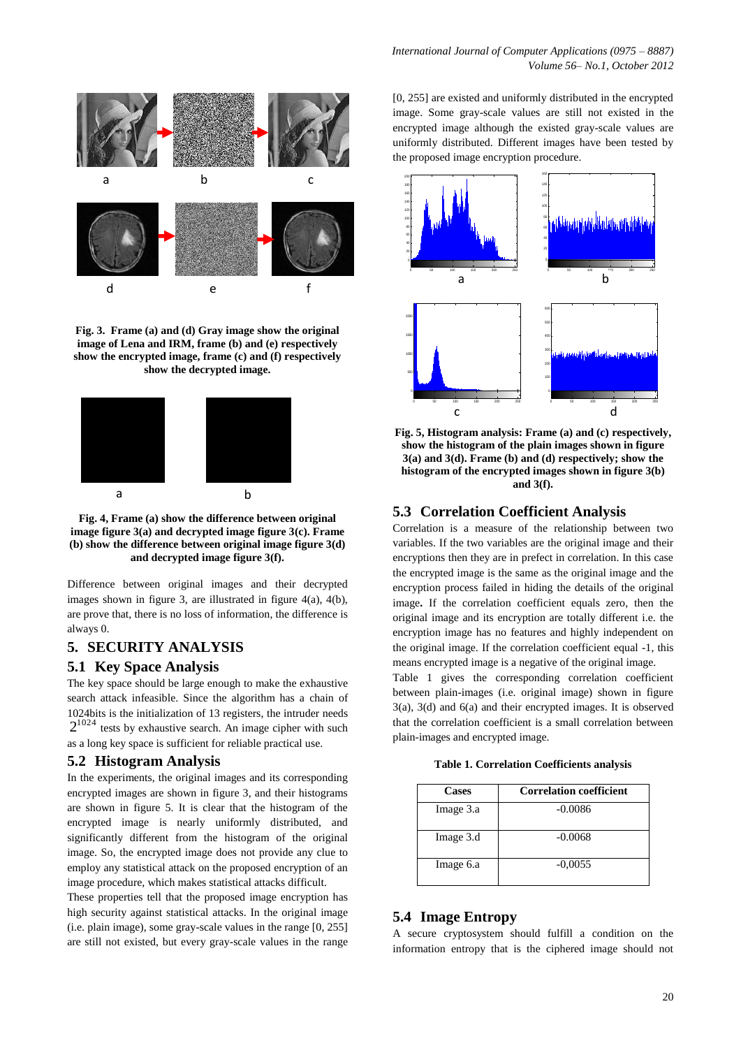

**Fig. 3. Frame (a) and (d) Gray image show the original image of Lena and IRM, frame (b) and (e) respectively show the encrypted image, frame (c) and (f) respectively show the decrypted image.**



**Fig. 4, Frame (a) show the difference between original image figure 3(a) and decrypted image figure 3(c). Frame (b) show the difference between original image figure 3(d) and decrypted image figure 3(f).**

Difference between original images and their decrypted images shown in figure 3, are illustrated in figure  $4(a)$ ,  $4(b)$ , are prove that, there is no loss of information, the difference is always 0.

# **5. SECURITY ANALYSIS**

#### **5.1 Key Space Analysis**

The key space should be large enough to make the exhaustive search attack infeasible. Since the algorithm has a chain of 1024bits is the initialization of 13 registers, the intruder needs  $2^{1024}$  tests by exhaustive search. An image cipher with such as a long key space is sufficient for reliable practical use.

#### **5.2 Histogram Analysis**

In the experiments, the original images and its corresponding encrypted images are shown in figure 3, and their histograms are shown in figure 5. It is clear that the histogram of the encrypted image is nearly uniformly distributed, and significantly different from the histogram of the original image. So, the encrypted image does not provide any clue to employ any statistical attack on the proposed encryption of an image procedure, which makes statistical attacks difficult.

These properties tell that the proposed image encryption has high security against statistical attacks. In the original image (i.e. plain image), some gray-scale values in the range [0, 255] are still not existed, but every gray-scale values in the range [0, 255] are existed and uniformly distributed in the encrypted image. Some gray-scale values are still not existed in the encrypted image although the existed gray-scale values are uniformly distributed. Different images have been tested by the proposed image encryption procedure.



**Fig. 5, Histogram analysis: Frame (a) and (c) respectively, show the histogram of the plain images shown in figure 3(a) and 3(d). Frame (b) and (d) respectively; show the histogram of the encrypted images shown in figure 3(b) and 3(f).**

## **5.3 Correlation Coefficient Analysis**

Correlation is a measure of the relationship between two variables. If the two variables are the original image and their encryptions then they are in prefect in correlation. In this case the encrypted image is the same as the original image and the encryption process failed in hiding the details of the original image**.** If the correlation coefficient equals zero, then the original image and its encryption are totally different i.e. the encryption image has no features and highly independent on the original image. If the correlation coefficient equal -1, this means encrypted image is a negative of the original image.

Table 1 gives the corresponding correlation coefficient between plain-images (i.e. original image) shown in figure 3(a), 3(d) and 6(a) and their encrypted images. It is observed that the correlation coefficient is a small correlation between plain-images and encrypted image.

**Table 1. Correlation Coefficients analysis**

| Cases     | <b>Correlation coefficient</b> |  |
|-----------|--------------------------------|--|
| Image 3.a | $-0.0086$                      |  |
| Image 3.d | $-0.0068$                      |  |
| Image 6.a | $-0,0055$                      |  |

# **5.4 Image Entropy**

A secure cryptosystem should fulfill a condition on the information entropy that is the ciphered image should not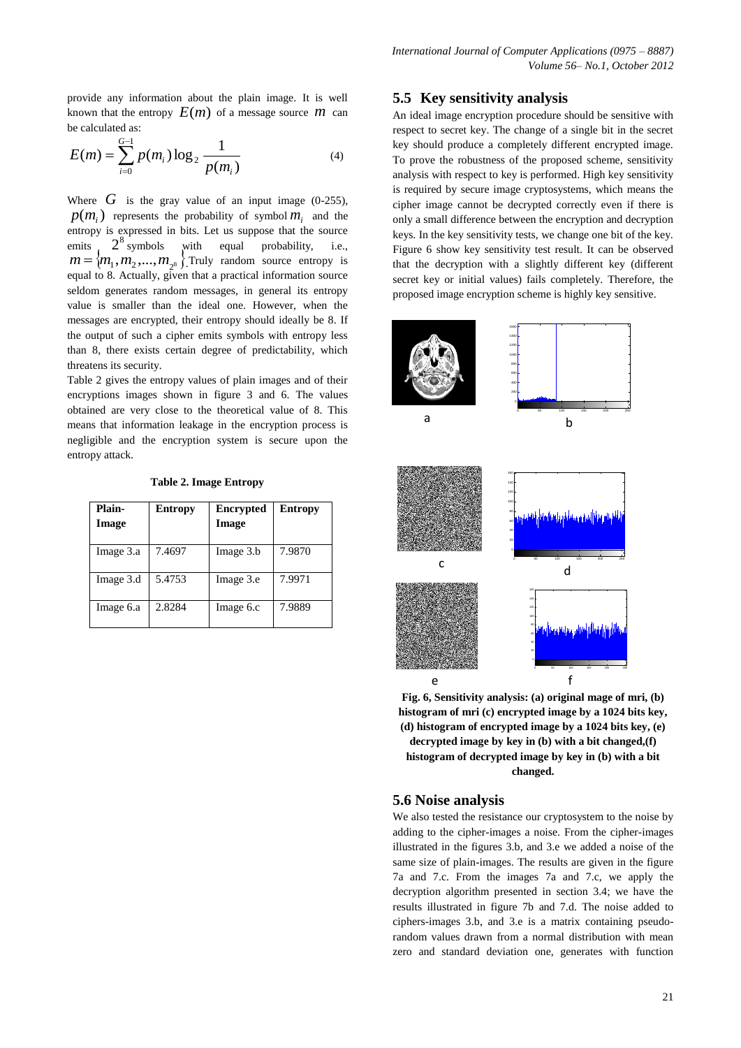provide any information about the plain image. It is well known that the entropy  $E(m)$  of a message source  $m$  can be calculated as:

$$
E(m) = \sum_{i=0}^{G-1} p(m_i) \log_2 \frac{1}{p(m_i)}
$$
 (4)

Where  $G$  is the gray value of an input image (0-255),  $p(m_i)$  represents the probability of symbol  $m_i$  and the entropy is expressed in bits. Let us suppose that the source<br>emits  $2^8$  symbols with equal probability, i.e. emits  $2^8$ equal probability, i.e.,  $m = \{m_1, m_2, ..., m_{2^8}\}\$ Truly random source entropy is equal to 8. Actually, given that a practical information source seldom generates random messages, in general its entropy value is smaller than the ideal one. However, when the messages are encrypted, their entropy should ideally be 8. If the output of such a cipher emits symbols with entropy less than 8, there exists certain degree of predictability, which threatens its security.

Table 2 gives the entropy values of plain images and of their encryptions images shown in figure 3 and 6. The values obtained are very close to the theoretical value of 8. This means that information leakage in the encryption process is negligible and the encryption system is secure upon the entropy attack.

**Table 2. Image Entropy**

| Plain-<br>Image | <b>Entropy</b> | <b>Encrypted</b><br>Image | <b>Entropy</b> |
|-----------------|----------------|---------------------------|----------------|
| Image 3.a       | 7.4697         | Image 3.b                 | 7.9870         |
| Image 3.d       | 5.4753         | Image 3.e                 | 7.9971         |
| Image 6.a       | 2.8284         | Image 6.c                 | 7.9889         |

#### **5.5 Key sensitivity analysis**

An ideal image encryption procedure should be sensitive with respect to secret key. The change of a single bit in the secret key should produce a completely different encrypted image. To prove the robustness of the proposed scheme, sensitivity analysis with respect to key is performed. High key sensitivity is required by secure image cryptosystems, which means the cipher image cannot be decrypted correctly even if there is only a small difference between the encryption and decryption keys. In the key sensitivity tests, we change one bit of the key. Figure 6 show key sensitivity test result. It can be observed that the decryption with a slightly different key (different secret key or initial values) fails completely. Therefore, the proposed image encryption scheme is highly key sensitive.



**Fig. 6, Sensitivity analysis: (a) original mage of mri, (b) histogram of mri (c) encrypted image by a 1024 bits key, (d) histogram of encrypted image by a 1024 bits key, (e) decrypted image by key in (b) with a bit changed,(f) histogram of decrypted image by key in (b) with a bit changed.**

#### **5.6 Noise analysis**

We also tested the resistance our cryptosystem to the noise by adding to the cipher-images a noise. From the cipher-images illustrated in the figures 3.b, and 3.e we added a noise of the same size of plain-images. The results are given in the figure 7a and 7.c. From the images 7a and 7.c, we apply the decryption algorithm presented in section 3.4; we have the results illustrated in figure 7b and 7.d. The noise added to ciphers-images 3.b, and 3.e is a matrix containing pseudorandom values drawn from a normal distribution with mean zero and standard deviation one, generates with function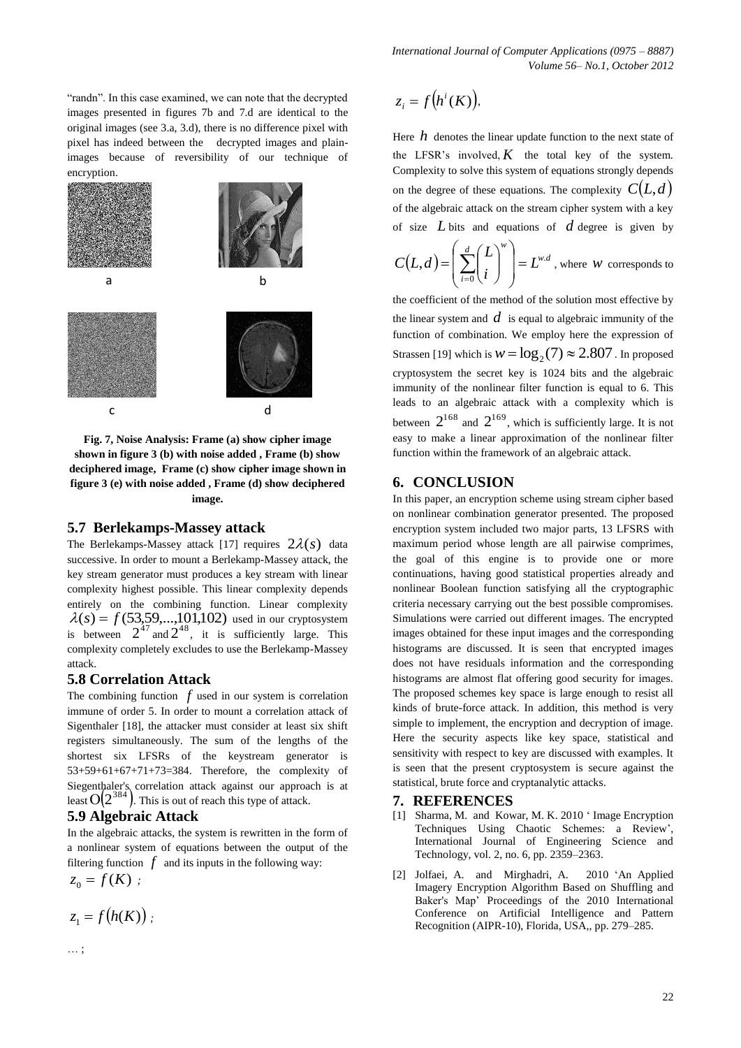*International Journal of Computer Applications (0975 – 8887) Volume 56– No.1, October 2012*

"randn". In this case examined, we can note that the decrypted images presented in figures 7b and 7.d are identical to the original images (see 3.a, 3.d), there is no difference pixel with pixel has indeed between the decrypted images and plainimages because of reversibility of our technique of encryption.



**Fig. 7, Noise Analysis: Frame (a) show cipher image shown in figure 3 (b) with noise added , Frame (b) show deciphered image, Frame (c) show cipher image shown in figure 3 (e) with noise added , Frame (d) show deciphered image.**

#### **5.7 Berlekamps-Massey attack**

The Berlekamps-Massey attack [17] requires  $2\lambda(s)$  data successive. In order to mount a Berlekamp-Massey attack, the key stream generator must produces a key stream with linear complexity highest possible. This linear complexity depends entirely on the combining function. Linear complexity  $\lambda(s) = f(53,59,...,101,102)$  used in our cryptosystem is between  $2^{47}$  and  $2^{48}$ , it is sufficiently large. This complexity completely excludes to use the Berlekamp-Massey attack.

## **5.8 Correlation Attack**

The combining function  $f$  used in our system is correlation immune of order 5. In order to mount a correlation attack of Sigenthaler [18], the attacker must consider at least six shift registers simultaneously. The sum of the lengths of the shortest six LFSRs of the keystream generator is 53+59+61+67+71+73=384. Therefore, the complexity of Siegenthaler's correlation attack against our approach is at least  $O(2^{384})$ . This is out of reach this type of attack.

### **5.9 Algebraic Attack**

In the algebraic attacks, the system is rewritten in the form of a nonlinear system of equations between the output of the filtering function  $f$  and its inputs in the following way:

$$
z_0=f(K)
$$

$$
z_1 = f(h(K))
$$

… ;

$$
z_i = f\big(h^i(K)\big),\,
$$

 $z_i = f(h^i(K)),$ <br>Here *h* denotes the linear update function to the next state of the LFSR's involved,  $K$  the total key of the system. Complexity to solve this system of equations strongly depends on the degree of these equations. The complexity  $C(L,d)$ of the algebraic attack on the stream cipher system with a key of size *L* bits and equations of *d* degree is given by

$$
C(L,d) = \left(\sum_{i=0}^{d} {L \choose i}^{w}\right) = L^{w.d}
$$
, where *w* corresponds to

the coefficient of the method of the solution most effective by the linear system and  $d$  is equal to algebraic immunity of the function of combination. We employ here the expression of Strassen [19] which is  $w = \log_2(7) \approx 2.807$  . In proposed cryptosystem the secret key is 1024 bits and the algebraic immunity of the nonlinear filter function is equal to 6. This leads to an algebraic attack with a complexity which is between  $2^{168}$  and  $2^{169}$ , which is sufficiently large. It is not easy to make a linear approximation of the nonlinear filter function within the framework of an algebraic attack.

## **6. CONCLUSION**

In this paper, an encryption scheme using stream cipher based on nonlinear combination generator presented. The proposed encryption system included two major parts, 13 LFSRS with maximum period whose length are all pairwise comprimes, the goal of this engine is to provide one or more continuations, having good statistical properties already and nonlinear Boolean function satisfying all the cryptographic criteria necessary carrying out the best possible compromises. Simulations were carried out different images. The encrypted images obtained for these input images and the corresponding histograms are discussed. It is seen that encrypted images does not have residuals information and the corresponding histograms are almost flat offering good security for images. The proposed schemes key space is large enough to resist all kinds of brute-force attack. In addition, this method is very simple to implement, the encryption and decryption of image. Here the security aspects like key space, statistical and sensitivity with respect to key are discussed with examples. It is seen that the present cryptosystem is secure against the statistical, brute force and cryptanalytic attacks.

### **7. REFERENCES**

- [1] Sharma, M. and Kowar, M. K. 2010 ' Image Encryption Techniques Using Chaotic Schemes: a Review', International Journal of Engineering Science and Technology, vol. 2, no. 6, pp. 2359–2363.
- [2] Jolfaei, A. and Mirghadri, A. 2010 'An Applied Imagery Encryption Algorithm Based on Shuffling and Baker's Map' Proceedings of the 2010 International Conference on Artificial Intelligence and Pattern Recognition (AIPR-10), Florida, USA,, pp. 279–285.